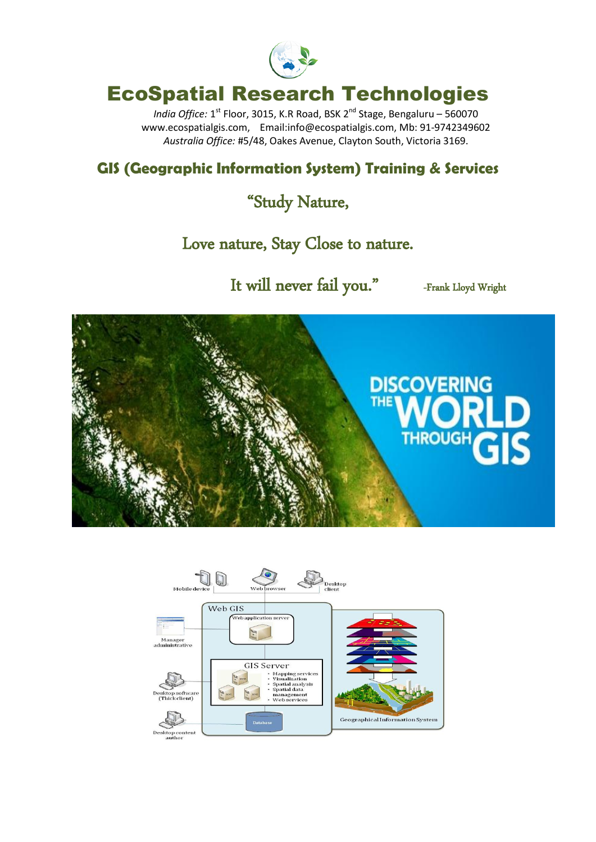

India Office: 1<sup>st</sup> Floor, 3015, K.R Road, BSK 2<sup>nd</sup> Stage, Bengaluru – 560070 www.ecospatialgis.com, Email:info@ecospatialgis.com, Mb: 91-9742349602 *Australia Office:* #5/48, Oakes Avenue, Clayton South, Victoria 3169.

### **GIS (Geographic Information System) Training & Services**

## "Study Nature,

### Love nature, Stay Close to nature.

It will never fail you." -Frank Lloyd Wright



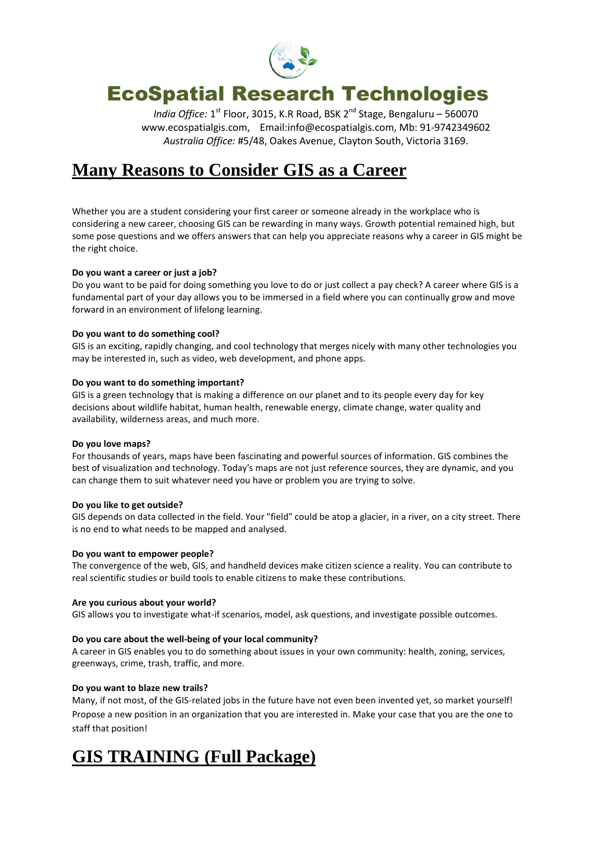

India Office: 1<sup>st</sup> Floor, 3015, K.R Road, BSK 2<sup>nd</sup> Stage, Bengaluru – 560070 www.ecospatialgis.com, Email:info@ecospatialgis.com, Mb: 91-9742349602 *Australia Office:* #5/48, Oakes Avenue, Clayton South, Victoria 3169.

### **Many Reasons to Consider GIS as a Career**

Whether you are a student considering your first career or someone already in the workplace who is considering a new career, choosing GIS can be rewarding in many ways. Growth potential remained high, but some pose questions and we offers answers that can help you appreciate reasons why a career in GIS might be the right choice.

### **Do you want a career or just a job?**

Do you want to be paid for doing something you love to do or just collect a pay check? A career where GIS is a fundamental part of your day allows you to be immersed in a field where you can continually grow and move forward in an environment of lifelong learning.

#### **Do you want to do something cool?**

GIS is an exciting, rapidly changing, and cool technology that merges nicely with many other technologies you may be interested in, such as video, web development, and phone apps.

#### **Do you want to do something important?**

GIS is a green technology that is making a difference on our planet and to its people every day for key decisions about wildlife habitat, human health, renewable energy, climate change, water quality and availability, wilderness areas, and much more.

#### **Do you love maps?**

For thousands of years, maps have been fascinating and powerful sources of information. GIS combines the best of visualization and technology. Today's maps are not just reference sources, they are dynamic, and you can change them to suit whatever need you have or problem you are trying to solve.

#### **Do you like to get outside?**

GIS depends on data collected in the field. Your "field" could be atop a glacier, in a river, on a city street. There is no end to what needs to be mapped and analysed.

### **Do you want to empower people?**

The convergence of the web, GIS, and handheld devices make citizen science a reality. You can contribute to real scientific studies or build tools to enable citizens to make these contributions.

#### **Are you curious about your world?**

GIS allows you to investigate what-if scenarios, model, ask questions, and investigate possible outcomes.

### **Do you care about the well-being of your local community?**

A career in GIS enables you to do something about issues in your own community: health, zoning, services, greenways, crime, trash, traffic, and more.

### **Do you want to blaze new trails?**

Many, if not most, of the GIS-related jobs in the future have not even been invented yet, so market yourself! Propose a new position in an organization that you are interested in. Make your case that you are the one to staff that position!

## **GIS TRAINING (Full Package)**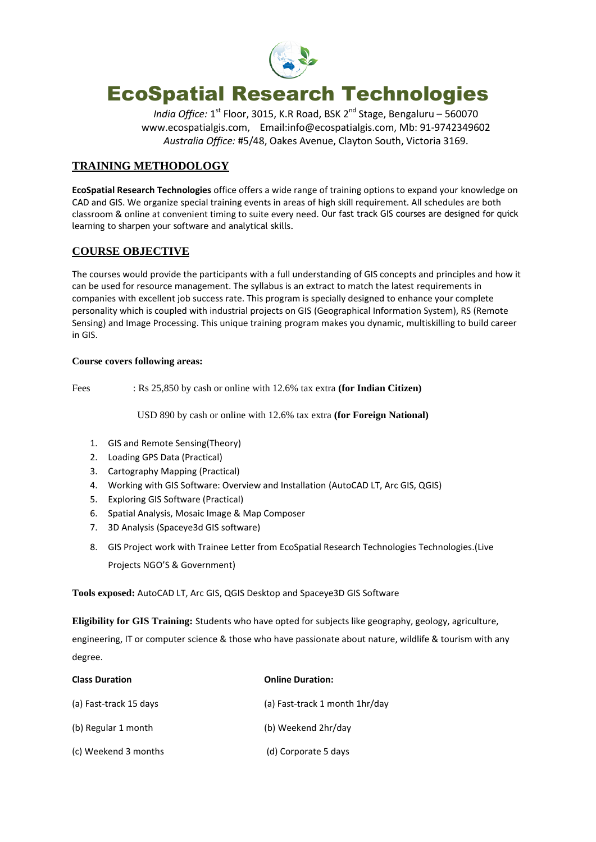

India Office: 1<sup>st</sup> Floor, 3015, K.R Road, BSK 2<sup>nd</sup> Stage, Bengaluru – 560070 www.ecospatialgis.com, Email:info@ecospatialgis.com, Mb: 91-9742349602 *Australia Office:* #5/48, Oakes Avenue, Clayton South, Victoria 3169.

### **TRAINING METHODOLOGY**

**EcoSpatial Research Technologies** office offers a wide range of training options to expand your knowledge on CAD and GIS. We organize special training events in areas of high skill requirement. All schedules are both classroom & online at convenient timing to suite every need. Our fast track GIS courses are designed for quick learning to sharpen your software and analytical skills.

### **COURSE OBJECTIVE**

The courses would provide the participants with a full understanding of GIS concepts and principles and how it can be used for resource management. The syllabus is an extract to match the latest requirements in companies with excellent job success rate. This program is specially designed to enhance your complete personality which is coupled with industrial projects on GIS (Geographical Information System), RS (Remote Sensing) and Image Processing. This unique training program makes you dynamic, multiskilling to build career in GIS.

#### **Course covers following areas:**

Fees : Rs 25,850 by cash or online with 12.6% tax extra **(for Indian Citizen)**

USD 890 by cash or online with 12.6% tax extra **(for Foreign National)** 

- 1. GIS and Remote Sensing(Theory)
- 2. Loading GPS Data (Practical)
- 3. Cartography Mapping (Practical)
- 4. Working with GIS Software: Overview and Installation (AutoCAD LT, Arc GIS, QGIS)
- 5. Exploring GIS Software (Practical)
- 6. Spatial Analysis, Mosaic Image & Map Composer
- 7. 3D Analysis (Spaceye3d GIS software)
- 8. GIS Project work with Trainee Letter from EcoSpatial Research Technologies Technologies.(Live Projects NGO'S & Government)

**Tools exposed:** AutoCAD LT, Arc GIS, QGIS Desktop and Spaceye3D GIS Software

**Eligibility for GIS Training:** Students who have opted for subjects like geography, geology, agriculture, engineering, IT or computer science & those who have passionate about nature, wildlife & tourism with any degree.

| <b>Class Duration</b>  | <b>Online Duration:</b>        |
|------------------------|--------------------------------|
| (a) Fast-track 15 days | (a) Fast-track 1 month 1hr/day |
| (b) Regular 1 month    | (b) Weekend 2hr/day            |
| (c) Weekend 3 months   | (d) Corporate 5 days           |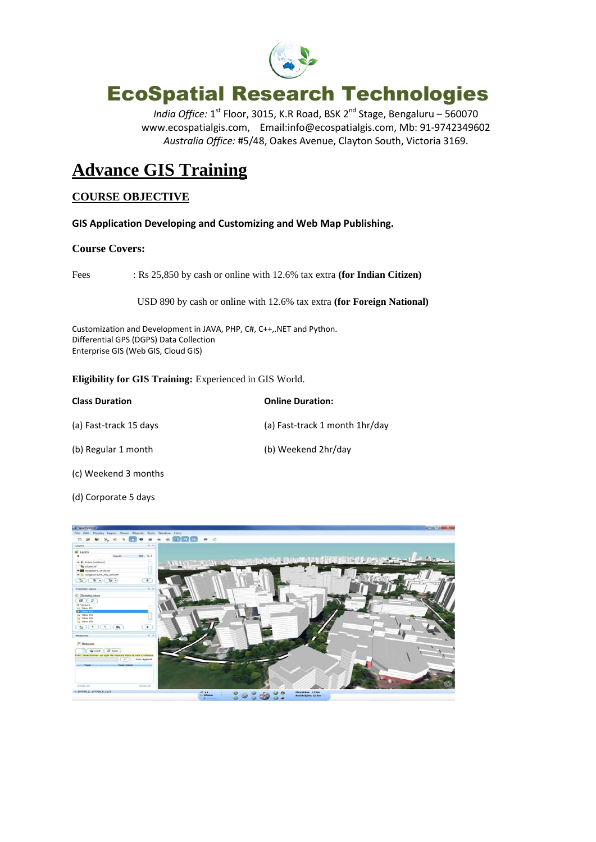

India Office: 1<sup>st</sup> Floor, 3015, K.R Road, BSK 2<sup>nd</sup> Stage, Bengaluru – 560070 www.ecospatialgis.com, Email:info@ecospatialgis.com, Mb: 91-9742349602 *Australia Office:* #5/48, Oakes Avenue, Clayton South, Victoria 3169.

### **Advance GIS Training**

### **COURSE OBJECTIVE**

**GIS Application Developing and Customizing and Web Map Publishing.**

### **Course Covers:**

Fees : Rs 25,850 by cash or online with 12.6% tax extra **(for Indian Citizen)**

USD 890 by cash or online with 12.6% tax extra **(for Foreign National)**

Customization and Development in JAVA, PHP, C#, C++,.NET and Python. Differential GPS (DGPS) Data Collection Enterprise GIS (Web GIS, Cloud GIS)

#### **Eligibility for GIS Training:** Experienced in GIS World.

| <b>Class Duration</b>  | <b>Online Duration:</b>        |
|------------------------|--------------------------------|
| (a) Fast-track 15 days | (a) Fast-track 1 month 1hr/day |
| (b) Regular 1 month    | (b) Weekend 2hr/day            |

- (c) Weekend 3 months
- (d) Corporate 5 days

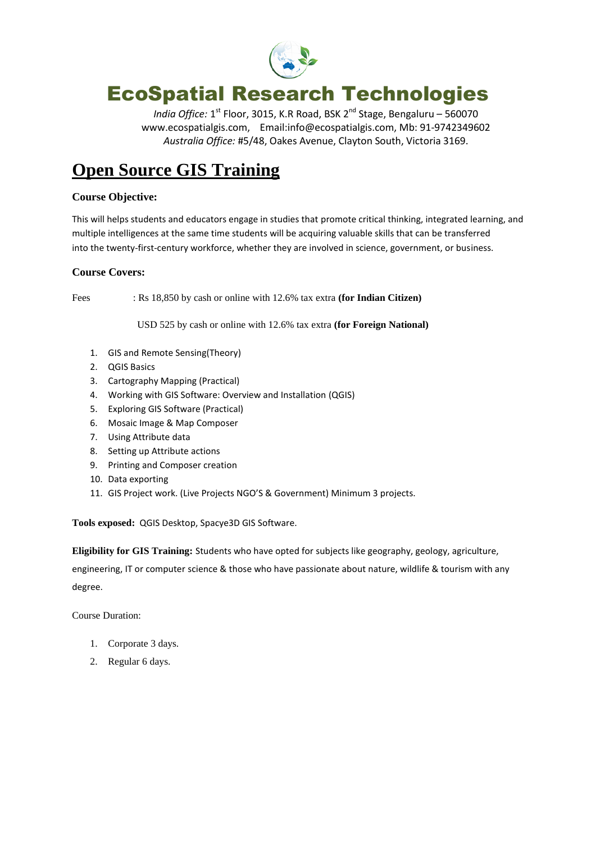

India Office: 1<sup>st</sup> Floor, 3015, K.R Road, BSK 2<sup>nd</sup> Stage, Bengaluru – 560070 www.ecospatialgis.com, Email:info@ecospatialgis.com, Mb: 91-9742349602 *Australia Office:* #5/48, Oakes Avenue, Clayton South, Victoria 3169.

### **Open Source GIS Training**

### **Course Objective:**

This will helps students and educators engage in studies that promote critical thinking, integrated learning, and multiple intelligences at the same time students will be acquiring valuable skills that can be transferred into the twenty-first-century workforce, whether they are involved in science, government, or business.

### **Course Covers:**

Fees : Rs 18,850 by cash or online with 12.6% tax extra **(for Indian Citizen)**

USD 525 by cash or online with 12.6% tax extra **(for Foreign National)**

- 1. GIS and Remote Sensing(Theory)
- 2. QGIS Basics
- 3. Cartography Mapping (Practical)
- 4. Working with GIS Software: Overview and Installation (QGIS)
- 5. Exploring GIS Software (Practical)
- 6. Mosaic Image & Map Composer
- 7. Using Attribute data
- 8. Setting up Attribute actions
- 9. Printing and Composer creation
- 10. Data exporting
- 11. GIS Project work. (Live Projects NGO'S & Government) Minimum 3 projects.

**Tools exposed:** QGIS Desktop, Spacye3D GIS Software.

**Eligibility for GIS Training:** Students who have opted for subjects like geography, geology, agriculture, engineering, IT or computer science & those who have passionate about nature, wildlife & tourism with any degree.

Course Duration:

- 1. Corporate 3 days.
- 2. Regular 6 days.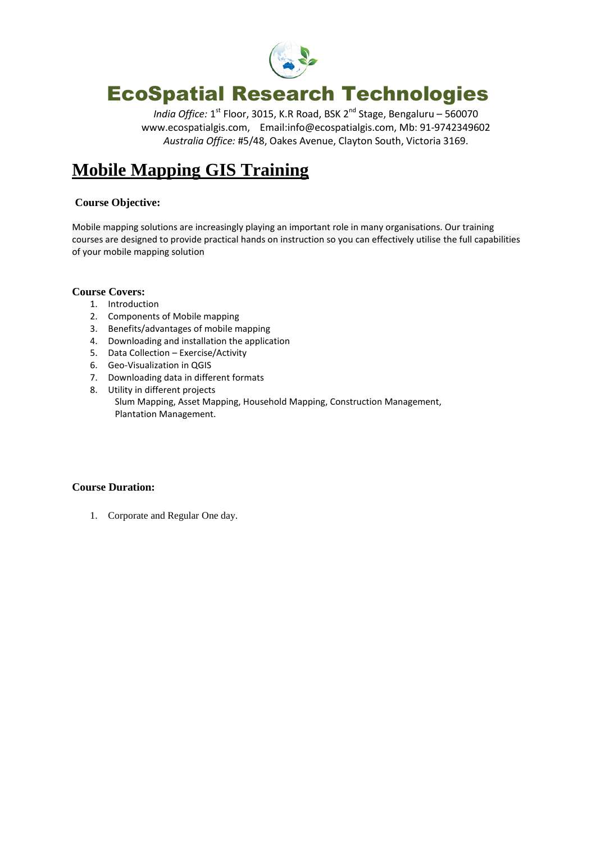

India Office: 1<sup>st</sup> Floor, 3015, K.R Road, BSK 2<sup>nd</sup> Stage, Bengaluru – 560070 www.ecospatialgis.com, Email:info@ecospatialgis.com, Mb: 91-9742349602 *Australia Office:* #5/48, Oakes Avenue, Clayton South, Victoria 3169.

### **Mobile Mapping GIS Training**

### **Course Objective:**

Mobile mapping solutions are increasingly playing an important role in many organisations. Our training courses are designed to provide practical hands on instruction so you can effectively utilise the full capabilities of your mobile mapping solution

### **Course Covers:**

- 1. Introduction
- 2. Components of Mobile mapping
- 3. Benefits/advantages of mobile mapping
- 4. Downloading and installation the application
- 5. Data Collection Exercise/Activity
- 6. Geo-Visualization in QGIS
- 7. Downloading data in different formats
- 8. Utility in different projects Slum Mapping, Asset Mapping, Household Mapping, Construction Management, Plantation Management.

### **Course Duration:**

1. Corporate and Regular One day.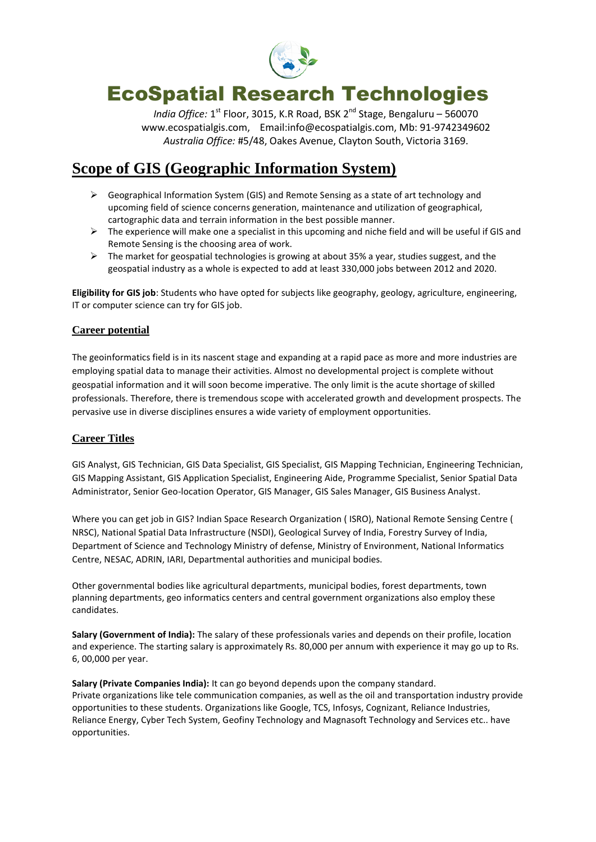

India Office: 1<sup>st</sup> Floor, 3015, K.R Road, BSK 2<sup>nd</sup> Stage, Bengaluru – 560070 www.ecospatialgis.com, Email:info@ecospatialgis.com, Mb: 91-9742349602 *Australia Office:* #5/48, Oakes Avenue, Clayton South, Victoria 3169.

### **Scope of GIS (Geographic Information System)**

- $\triangleright$  Geographical Information System (GIS) and Remote Sensing as a state of art technology and upcoming field of science concerns generation, maintenance and utilization of geographical, cartographic data and terrain information in the best possible manner.
- $\triangleright$  The experience will make one a specialist in this upcoming and niche field and will be useful if GIS and Remote Sensing is the choosing area of work.
- $\triangleright$  The market for geospatial technologies is growing at about 35% a year, studies suggest, and the geospatial industry as a whole is expected to add at least 330,000 jobs between 2012 and 2020.

**Eligibility for GIS job**: Students who have opted for subjects like geography, geology, agriculture, engineering, IT or computer science can try for GIS job.

### **Career potential**

The geoinformatics field is in its nascent stage and expanding at a rapid pace as more and more industries are employing spatial data to manage their activities. Almost no developmental project is complete without geospatial information and it will soon become imperative. The only limit is the acute shortage of skilled professionals. Therefore, there is tremendous scope with accelerated growth and development prospects. The pervasive use in diverse disciplines ensures a wide variety of employment opportunities.

### **Career Titles**

GIS Analyst, GIS Technician, GIS Data Specialist, GIS Specialist, GIS Mapping Technician, Engineering Technician, GIS Mapping Assistant, GIS Application Specialist, Engineering Aide, Programme Specialist, Senior Spatial Data Administrator, Senior Geo-location Operator, GIS Manager, GIS Sales Manager, GIS Business Analyst.

Where you can get job in GIS? Indian Space Research Organization ( ISRO), National Remote Sensing Centre ( NRSC), National Spatial Data Infrastructure (NSDI), Geological Survey of India, Forestry Survey of India, Department of Science and Technology Ministry of defense, Ministry of Environment, National Informatics Centre, NESAC, ADRIN, IARI, Departmental authorities and municipal bodies.

Other governmental bodies like agricultural departments, municipal bodies, forest departments, town planning departments, geo informatics centers and central government organizations also employ these candidates.

**Salary (Government of India):** The salary of these professionals varies and depends on their profile, location and experience. The starting salary is approximately Rs. 80,000 per annum with experience it may go up to Rs. 6, 00,000 per year.

**Salary (Private Companies India):** It can go beyond depends upon the company standard. Private organizations like tele communication companies, as well as the oil and transportation industry provide opportunities to these students. Organizations like Google, TCS, Infosys, Cognizant, Reliance Industries, Reliance Energy, Cyber Tech System, Geofiny Technology and Magnasoft Technology and Services etc.. have opportunities.